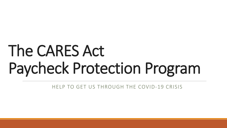# The CARES Act Paycheck Protection Program

HELP TO GET US THROUGH THE COVID-19 CRISIS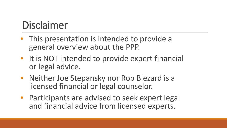#### Disclaimer

- This presentation is intended to provide a general overview about the PPP.
- It is NOT intended to provide expert financial or legal advice.
- Neither Joe Stepansky nor Rob Blezard is a licensed financial or legal counselor.
- Participants are advised to seek expert legal and financial advice from licensed experts.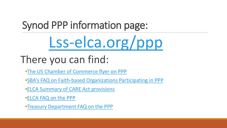# Synod PPP information page:

# [Lss-elca.org/ppp](https://www.lss-elca.org/ppp/)

## There you can find:

- •[The US Chamber of Commerce flyer on PPP](https://www.uschamber.com/sites/default/files/023595_comm_corona_virus_smallbiz_loan_final_revised.pdf)
- •[SBA's FAQ on Faith-based Organizations Participating in PPP](https://www.sba.gov/document/support--faq-regarding-participation-faith-based-organizations-ppp-eidl)
- •[ELCA Summary of CARE Act provisions](https://download.elca.org/ELCA%20Resource%20Repository/CARES_Act_summary_033020v2.pdf)
- •[ELCA FAQ on the PPP](https://download.elca.org/ELCA%20Resource%20Repository/FAQ_on_PPP_Loans.pdf)
- •[Treasury Department FAQ on the PPP](https://home.treasury.gov/system/files/136/PPP--Fact-Sheet.pdf)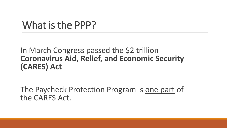#### What is the PPP?

#### In March Congress passed the \$2 trillion **Coronavirus Aid, Relief, and Economic Security (CARES) Act**

The Paycheck Protection Program is one part of the CARES Act.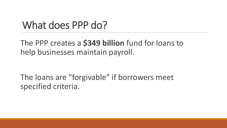#### What does PPP do?

The PPP creates a **\$349 billion** fund for loans to help businesses maintain payroll.

The loans are "forgivable" if borrowers meet specified criteria.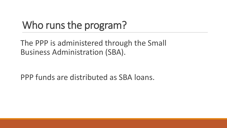## Who runs the program?

The PPP is administered through the Small Business Administration (SBA).

PPP funds are distributed as SBA loans.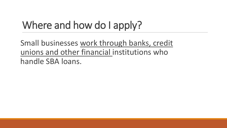# Where and how do I apply?

Small businesses work through banks, credit unions and other financial institutions who handle SBA loans.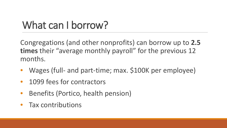## What can I borrow?

Congregations (and other nonprofits) can borrow up to **2.5 times** their "average monthly payroll" for the previous 12 months.

- Wages (full- and part-time; max. \$100K per employee)
- 1099 fees for contractors
- Benefits (Portico, health pension)
- Tax contributions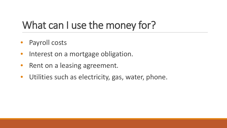#### What can I use the money for?

- Payroll costs
- Interest on a mortgage obligation.
- Rent on a leasing agreement.
- Utilities such as electricity, gas, water, phone.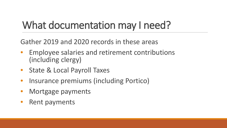#### What documentation may I need?

Gather 2019 and 2020 records in these areas

- Employee salaries and retirement contributions (including clergy)
- State & Local Payroll Taxes
- Insurance premiums (including Portico)
- Mortgage payments
- Rent payments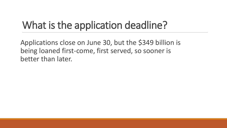## What is the application deadline?

Applications close on June 30, but the \$349 billion is being loaned first-come, first served, so sooner is better than later.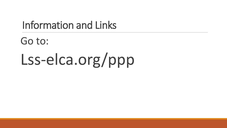#### Information and Links

Go to: Lss-elca.org/ppp